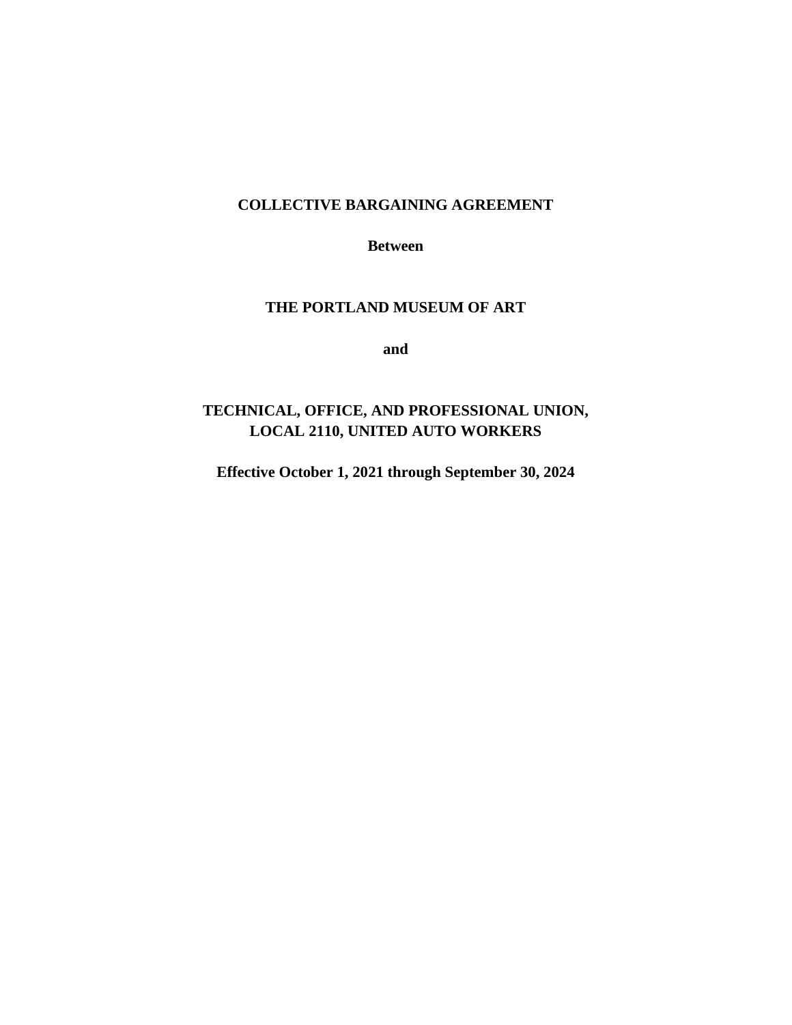### **COLLECTIVE BARGAINING AGREEMENT**

**Between**

## **THE PORTLAND MUSEUM OF ART**

**and**

## **TECHNICAL, OFFICE, AND PROFESSIONAL UNION, LOCAL 2110, UNITED AUTO WORKERS**

**Effective October 1, 2021 through September 30, 2024**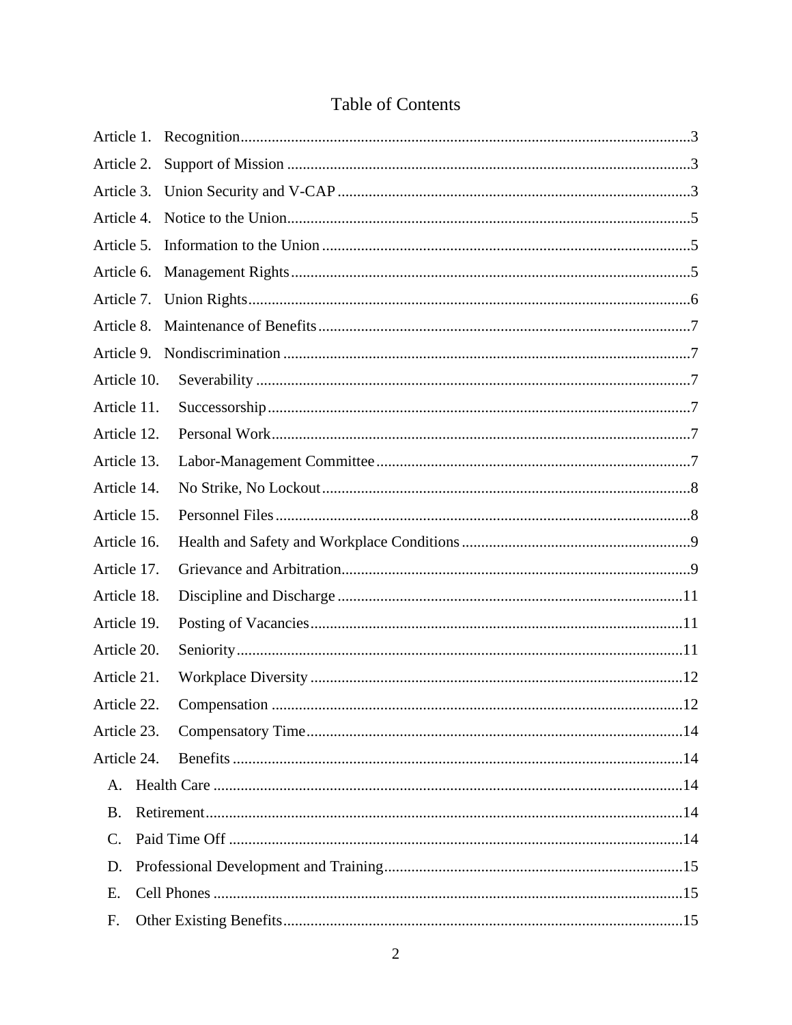## Table of Contents

| Article 1.      |      |  |  |
|-----------------|------|--|--|
| Article 2.      |      |  |  |
| Article 3.      |      |  |  |
| Article 4.      |      |  |  |
| Article 5.      |      |  |  |
| Article 6.      |      |  |  |
| Article 7.      |      |  |  |
| Article 8.      |      |  |  |
| Article 9.      |      |  |  |
| Article 10.     |      |  |  |
| Article 11.     |      |  |  |
| Article 12.     |      |  |  |
| Article 13.     |      |  |  |
| Article 14.     |      |  |  |
| Article 15.     |      |  |  |
| Article 16.     |      |  |  |
| Article 17.     |      |  |  |
| Article 18.     |      |  |  |
| Article 19.     |      |  |  |
| Article 20.     |      |  |  |
| Article 21.     |      |  |  |
| Article 22      | . 12 |  |  |
| Article 23.     |      |  |  |
| Article 24.     |      |  |  |
|                 |      |  |  |
| <b>B.</b>       |      |  |  |
| $\mathcal{C}$ . |      |  |  |
| D.              |      |  |  |
| Ε.              |      |  |  |
| F.              |      |  |  |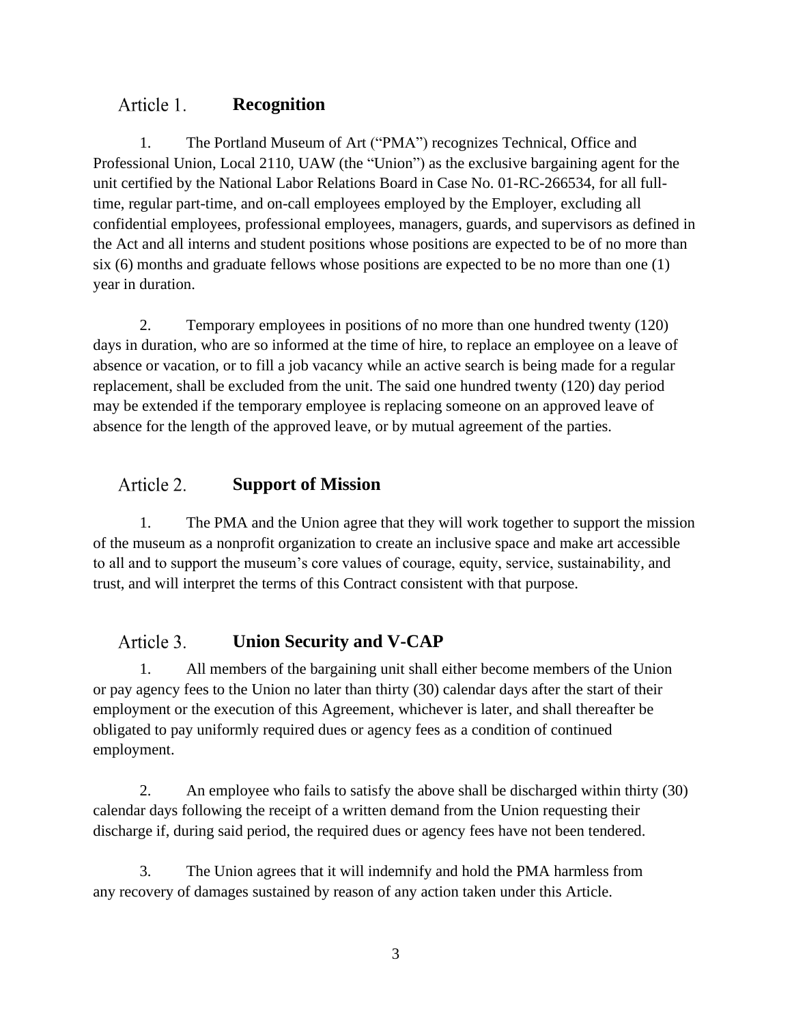#### Article 1. **Recognition**

1. The Portland Museum of Art ("PMA") recognizes Technical, Office and Professional Union, Local 2110, UAW (the "Union") as the exclusive bargaining agent for the unit certified by the National Labor Relations Board in Case No. 01-RC-266534, for all fulltime, regular part-time, and on-call employees employed by the Employer, excluding all confidential employees, professional employees, managers, guards, and supervisors as defined in the Act and all interns and student positions whose positions are expected to be of no more than six (6) months and graduate fellows whose positions are expected to be no more than one (1) year in duration.

2. Temporary employees in positions of no more than one hundred twenty (120) days in duration, who are so informed at the time of hire, to replace an employee on a leave of absence or vacation, or to fill a job vacancy while an active search is being made for a regular replacement, shall be excluded from the unit. The said one hundred twenty (120) day period may be extended if the temporary employee is replacing someone on an approved leave of absence for the length of the approved leave, or by mutual agreement of the parties.

#### Article 2. **Support of Mission**

1. The PMA and the Union agree that they will work together to support the mission of the museum as a nonprofit organization to create an inclusive space and make art accessible to all and to support the museum's core values of courage, equity, service, sustainability, and trust, and will interpret the terms of this Contract consistent with that purpose.

#### Article 3. **Union Security and V-CAP**

1. All members of the bargaining unit shall either become members of the Union or pay agency fees to the Union no later than thirty (30) calendar days after the start of their employment or the execution of this Agreement, whichever is later, and shall thereafter be obligated to pay uniformly required dues or agency fees as a condition of continued employment.

2. An employee who fails to satisfy the above shall be discharged within thirty (30) calendar days following the receipt of a written demand from the Union requesting their discharge if, during said period, the required dues or agency fees have not been tendered.

3. The Union agrees that it will indemnify and hold the PMA harmless from any recovery of damages sustained by reason of any action taken under this Article.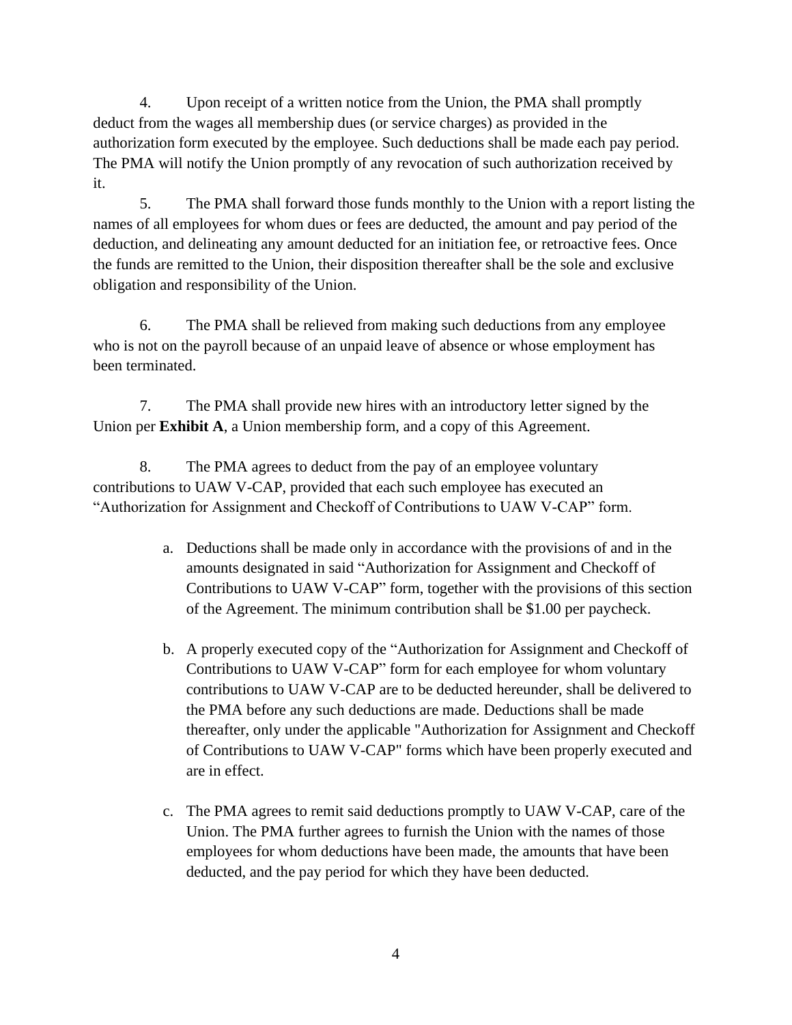4. Upon receipt of a written notice from the Union, the PMA shall promptly deduct from the wages all membership dues (or service charges) as provided in the authorization form executed by the employee. Such deductions shall be made each pay period. The PMA will notify the Union promptly of any revocation of such authorization received by it.

5. The PMA shall forward those funds monthly to the Union with a report listing the names of all employees for whom dues or fees are deducted, the amount and pay period of the deduction, and delineating any amount deducted for an initiation fee, or retroactive fees. Once the funds are remitted to the Union, their disposition thereafter shall be the sole and exclusive obligation and responsibility of the Union.

6. The PMA shall be relieved from making such deductions from any employee who is not on the payroll because of an unpaid leave of absence or whose employment has been terminated.

7. The PMA shall provide new hires with an introductory letter signed by the Union per **Exhibit A**, a Union membership form, and a copy of this Agreement.

8. The PMA agrees to deduct from the pay of an employee voluntary contributions to UAW V-CAP, provided that each such employee has executed an "Authorization for Assignment and Checkoff of Contributions to UAW V-CAP" form.

- a. Deductions shall be made only in accordance with the provisions of and in the amounts designated in said "Authorization for Assignment and Checkoff of Contributions to UAW V-CAP" form, together with the provisions of this section of the Agreement. The minimum contribution shall be \$1.00 per paycheck.
- b. A properly executed copy of the "Authorization for Assignment and Checkoff of Contributions to UAW V-CAP" form for each employee for whom voluntary contributions to UAW V-CAP are to be deducted hereunder, shall be delivered to the PMA before any such deductions are made. Deductions shall be made thereafter, only under the applicable "Authorization for Assignment and Checkoff of Contributions to UAW V-CAP" forms which have been properly executed and are in effect.
- c. The PMA agrees to remit said deductions promptly to UAW V-CAP, care of the Union. The PMA further agrees to furnish the Union with the names of those employees for whom deductions have been made, the amounts that have been deducted, and the pay period for which they have been deducted.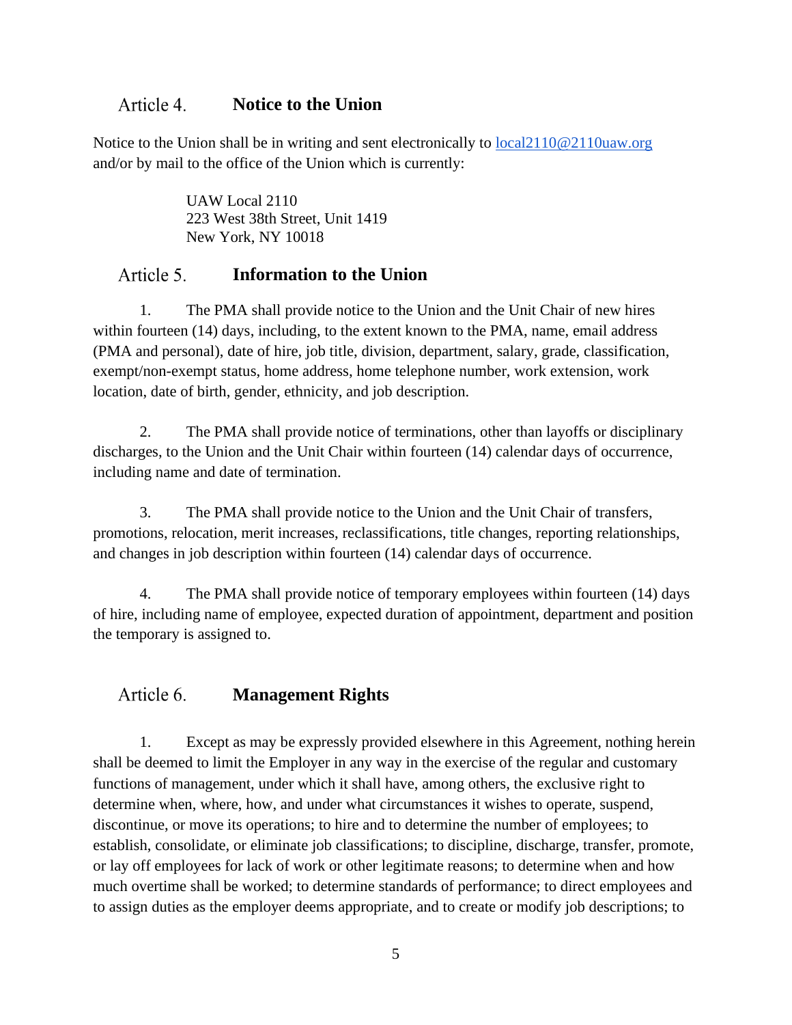#### Article 4. **Notice to the Union**

Notice to the Union shall be in writing and sent electronically to local2110@2110uaw.org and/or by mail to the office of the Union which is currently:

> UAW Local 2110 223 West 38th Street, Unit 1419 New York, NY 10018

#### Article 5. **Information to the Union**

1. The PMA shall provide notice to the Union and the Unit Chair of new hires within fourteen (14) days, including, to the extent known to the PMA, name, email address (PMA and personal), date of hire, job title, division, department, salary, grade, classification, exempt/non-exempt status, home address, home telephone number, work extension, work location, date of birth, gender, ethnicity, and job description.

2. The PMA shall provide notice of terminations, other than layoffs or disciplinary discharges, to the Union and the Unit Chair within fourteen (14) calendar days of occurrence, including name and date of termination.

3. The PMA shall provide notice to the Union and the Unit Chair of transfers, promotions, relocation, merit increases, reclassifications, title changes, reporting relationships, and changes in job description within fourteen (14) calendar days of occurrence.

4. The PMA shall provide notice of temporary employees within fourteen (14) days of hire, including name of employee, expected duration of appointment, department and position the temporary is assigned to.

#### Article 6. **Management Rights**

1. Except as may be expressly provided elsewhere in this Agreement, nothing herein shall be deemed to limit the Employer in any way in the exercise of the regular and customary functions of management, under which it shall have, among others, the exclusive right to determine when, where, how, and under what circumstances it wishes to operate, suspend, discontinue, or move its operations; to hire and to determine the number of employees; to establish, consolidate, or eliminate job classifications; to discipline, discharge, transfer, promote, or lay off employees for lack of work or other legitimate reasons; to determine when and how much overtime shall be worked; to determine standards of performance; to direct employees and to assign duties as the employer deems appropriate, and to create or modify job descriptions; to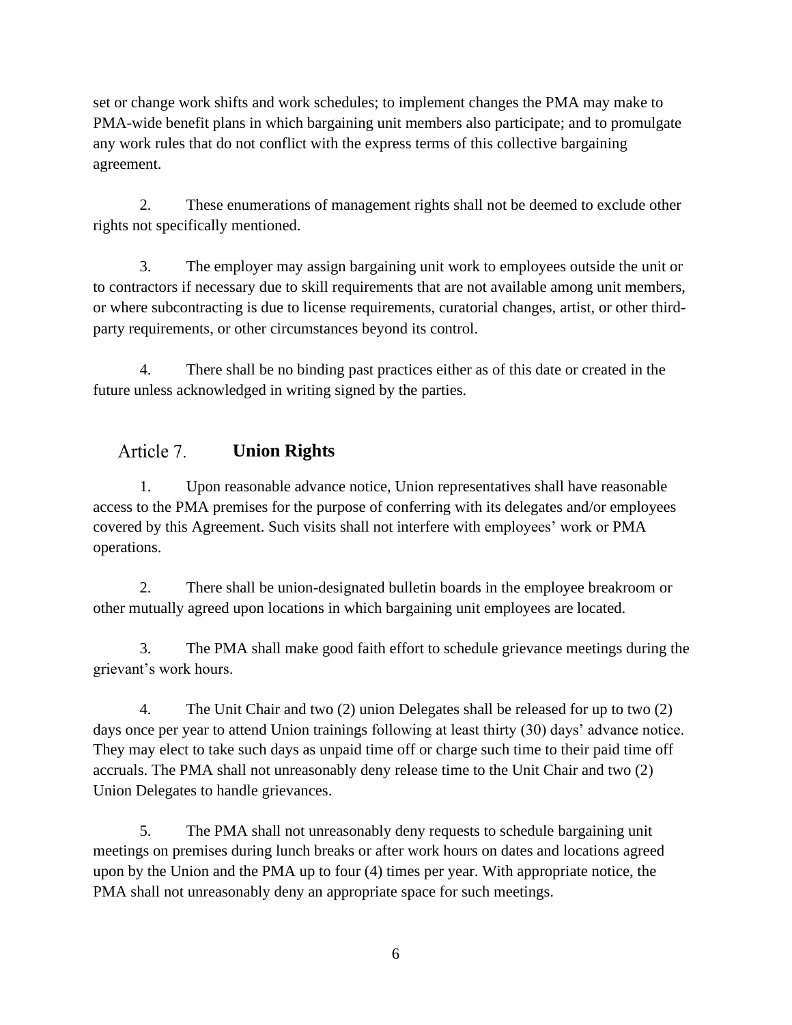set or change work shifts and work schedules; to implement changes the PMA may make to PMA-wide benefit plans in which bargaining unit members also participate; and to promulgate any work rules that do not conflict with the express terms of this collective bargaining agreement.

2. These enumerations of management rights shall not be deemed to exclude other rights not specifically mentioned.

3. The employer may assign bargaining unit work to employees outside the unit or to contractors if necessary due to skill requirements that are not available among unit members, or where subcontracting is due to license requirements, curatorial changes, artist, or other thirdparty requirements, or other circumstances beyond its control.

4. There shall be no binding past practices either as of this date or created in the future unless acknowledged in writing signed by the parties.

#### Article 7. **Union Rights**

1. Upon reasonable advance notice, Union representatives shall have reasonable access to the PMA premises for the purpose of conferring with its delegates and/or employees covered by this Agreement. Such visits shall not interfere with employees' work or PMA operations.

2. There shall be union-designated bulletin boards in the employee breakroom or other mutually agreed upon locations in which bargaining unit employees are located.

3. The PMA shall make good faith effort to schedule grievance meetings during the grievant's work hours.

4. The Unit Chair and two (2) union Delegates shall be released for up to two (2) days once per year to attend Union trainings following at least thirty (30) days' advance notice. They may elect to take such days as unpaid time off or charge such time to their paid time off accruals. The PMA shall not unreasonably deny release time to the Unit Chair and two (2) Union Delegates to handle grievances.

5. The PMA shall not unreasonably deny requests to schedule bargaining unit meetings on premises during lunch breaks or after work hours on dates and locations agreed upon by the Union and the PMA up to four (4) times per year. With appropriate notice, the PMA shall not unreasonably deny an appropriate space for such meetings.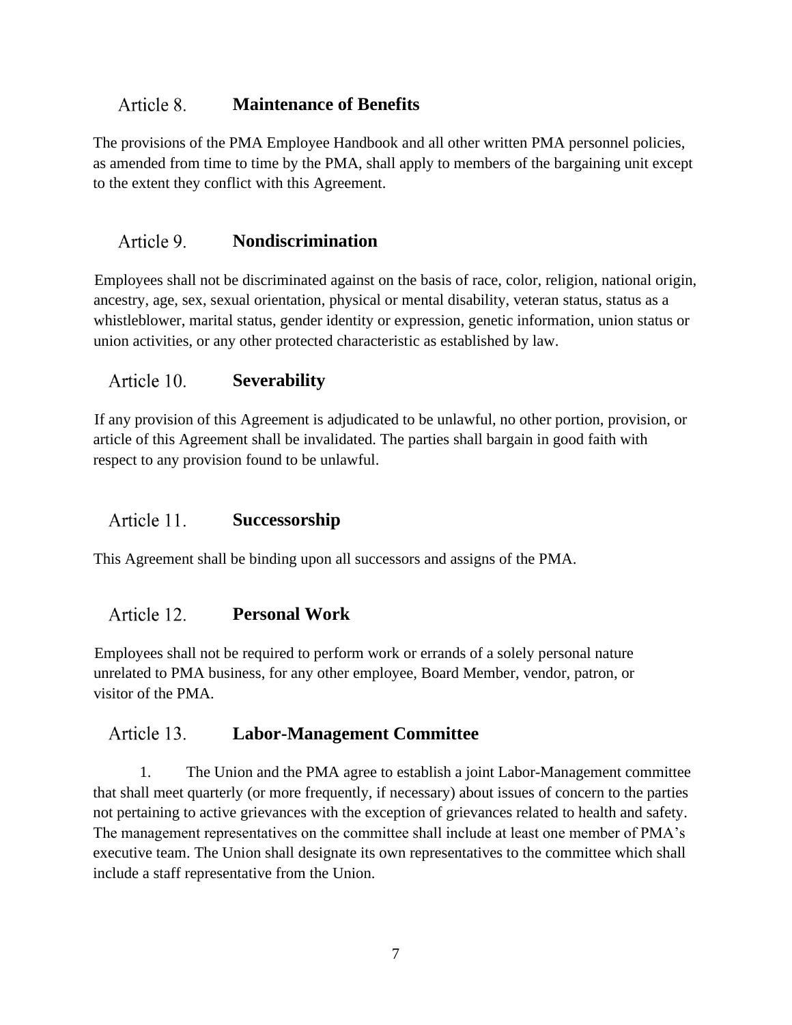#### Article 8. **Maintenance of Benefits**

The provisions of the PMA Employee Handbook and all other written PMA personnel policies, as amended from time to time by the PMA, shall apply to members of the bargaining unit except to the extent they conflict with this Agreement.

#### Article 9. **Nondiscrimination**

Employees shall not be discriminated against on the basis of race, color, religion, national origin, ancestry, age, sex, sexual orientation, physical or mental disability, veteran status, status as a whistleblower, marital status, gender identity or expression, genetic information, union status or union activities, or any other protected characteristic as established by law.

#### Article 10. **Severability**

If any provision of this Agreement is adjudicated to be unlawful, no other portion, provision, or article of this Agreement shall be invalidated. The parties shall bargain in good faith with respect to any provision found to be unlawful.

#### Article 11. **Successorship**

This Agreement shall be binding upon all successors and assigns of the PMA.

#### Article 12. **Personal Work**

Employees shall not be required to perform work or errands of a solely personal nature unrelated to PMA business, for any other employee, Board Member, vendor, patron, or visitor of the PMA.

#### Article 13. **Labor-Management Committee**

1. The Union and the PMA agree to establish a joint Labor-Management committee that shall meet quarterly (or more frequently, if necessary) about issues of concern to the parties not pertaining to active grievances with the exception of grievances related to health and safety. The management representatives on the committee shall include at least one member of PMA's executive team. The Union shall designate its own representatives to the committee which shall include a staff representative from the Union.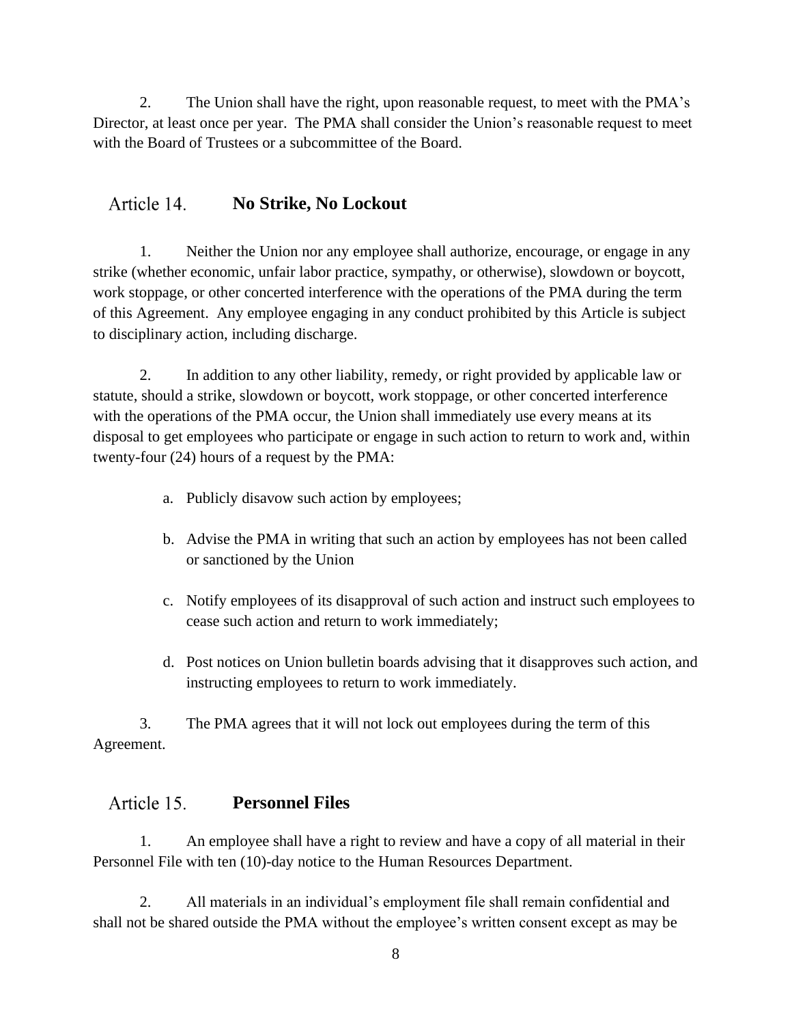2. The Union shall have the right, upon reasonable request, to meet with the PMA's Director, at least once per year. The PMA shall consider the Union's reasonable request to meet with the Board of Trustees or a subcommittee of the Board.

#### Article 14. **No Strike, No Lockout**

1. Neither the Union nor any employee shall authorize, encourage, or engage in any strike (whether economic, unfair labor practice, sympathy, or otherwise), slowdown or boycott, work stoppage, or other concerted interference with the operations of the PMA during the term of this Agreement. Any employee engaging in any conduct prohibited by this Article is subject to disciplinary action, including discharge.

2. In addition to any other liability, remedy, or right provided by applicable law or statute, should a strike, slowdown or boycott, work stoppage, or other concerted interference with the operations of the PMA occur, the Union shall immediately use every means at its disposal to get employees who participate or engage in such action to return to work and, within twenty-four (24) hours of a request by the PMA:

- a. Publicly disavow such action by employees;
- b. Advise the PMA in writing that such an action by employees has not been called or sanctioned by the Union
- c. Notify employees of its disapproval of such action and instruct such employees to cease such action and return to work immediately;
- d. Post notices on Union bulletin boards advising that it disapproves such action, and instructing employees to return to work immediately.

3. The PMA agrees that it will not lock out employees during the term of this Agreement.

#### Article 15. **Personnel Files**

1. An employee shall have a right to review and have a copy of all material in their Personnel File with ten (10)-day notice to the Human Resources Department.

2. All materials in an individual's employment file shall remain confidential and shall not be shared outside the PMA without the employee's written consent except as may be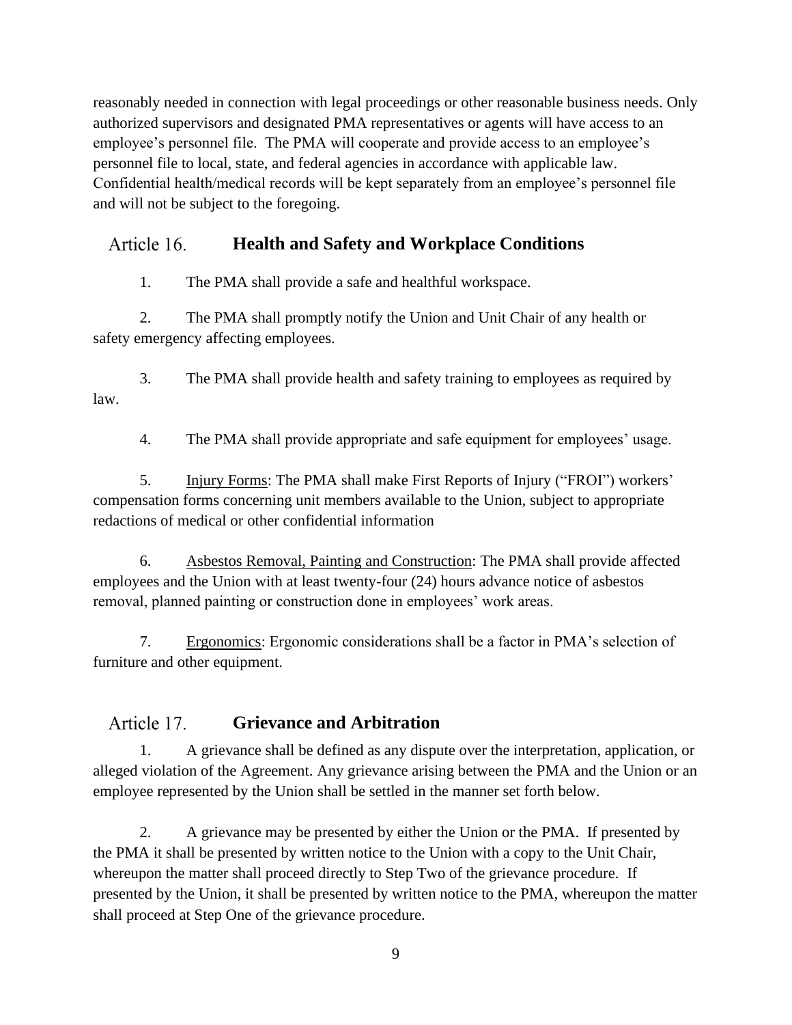reasonably needed in connection with legal proceedings or other reasonable business needs. Only authorized supervisors and designated PMA representatives or agents will have access to an employee's personnel file. The PMA will cooperate and provide access to an employee's personnel file to local, state, and federal agencies in accordance with applicable law. Confidential health/medical records will be kept separately from an employee's personnel file and will not be subject to the foregoing.

#### Article 16. **Health and Safety and Workplace Conditions**

1. The PMA shall provide a safe and healthful workspace.

2. The PMA shall promptly notify the Union and Unit Chair of any health or safety emergency affecting employees.

3. The PMA shall provide health and safety training to employees as required by law.

4. The PMA shall provide appropriate and safe equipment for employees' usage.

5. Injury Forms: The PMA shall make First Reports of Injury ("FROI") workers' compensation forms concerning unit members available to the Union, subject to appropriate redactions of medical or other confidential information

6. Asbestos Removal, Painting and Construction: The PMA shall provide affected employees and the Union with at least twenty-four (24) hours advance notice of asbestos removal, planned painting or construction done in employees' work areas.

7. Ergonomics: Ergonomic considerations shall be a factor in PMA's selection of furniture and other equipment.

#### Article 17. **Grievance and Arbitration**

1. A grievance shall be defined as any dispute over the interpretation, application, or alleged violation of the Agreement. Any grievance arising between the PMA and the Union or an employee represented by the Union shall be settled in the manner set forth below.

2. A grievance may be presented by either the Union or the PMA. If presented by the PMA it shall be presented by written notice to the Union with a copy to the Unit Chair, whereupon the matter shall proceed directly to Step Two of the grievance procedure. If presented by the Union, it shall be presented by written notice to the PMA, whereupon the matter shall proceed at Step One of the grievance procedure.

9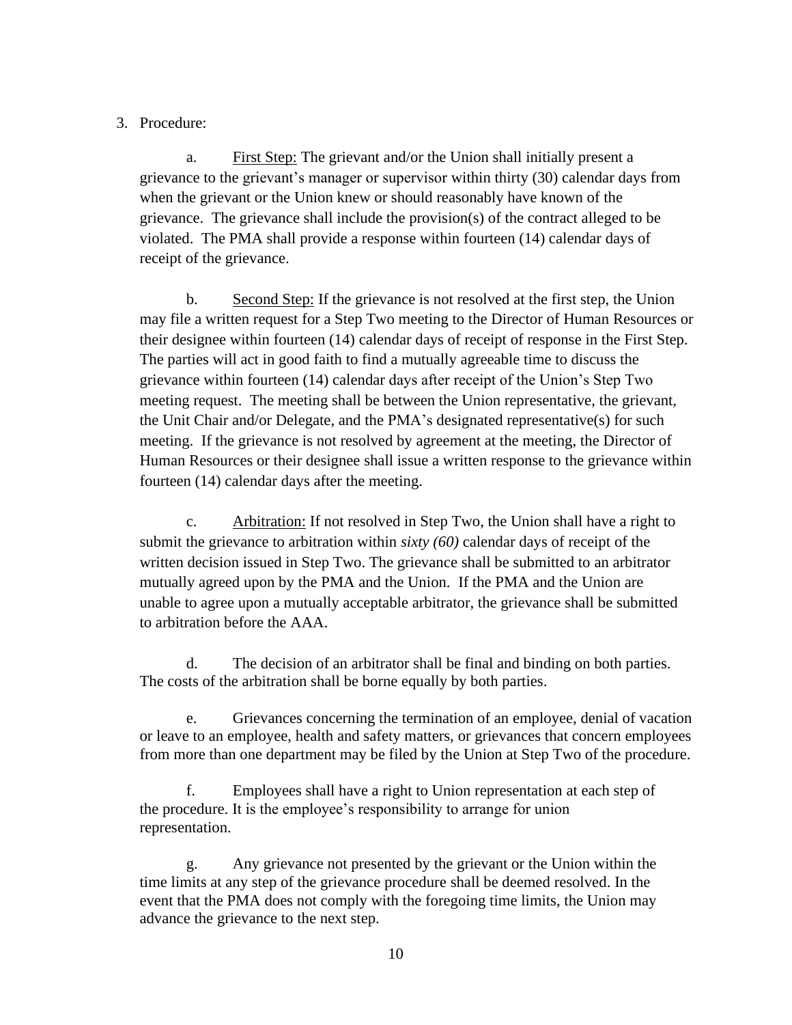### 3. Procedure:

a. First Step: The grievant and/or the Union shall initially present a grievance to the grievant's manager or supervisor within thirty (30) calendar days from when the grievant or the Union knew or should reasonably have known of the grievance. The grievance shall include the provision(s) of the contract alleged to be violated. The PMA shall provide a response within fourteen (14) calendar days of receipt of the grievance.

b. Second Step: If the grievance is not resolved at the first step, the Union may file a written request for a Step Two meeting to the Director of Human Resources or their designee within fourteen (14) calendar days of receipt of response in the First Step. The parties will act in good faith to find a mutually agreeable time to discuss the grievance within fourteen (14) calendar days after receipt of the Union's Step Two meeting request. The meeting shall be between the Union representative, the grievant, the Unit Chair and/or Delegate, and the PMA's designated representative(s) for such meeting. If the grievance is not resolved by agreement at the meeting, the Director of Human Resources or their designee shall issue a written response to the grievance within fourteen (14) calendar days after the meeting.

c. Arbitration: If not resolved in Step Two, the Union shall have a right to submit the grievance to arbitration within *sixty (60)* calendar days of receipt of the written decision issued in Step Two. The grievance shall be submitted to an arbitrator mutually agreed upon by the PMA and the Union. If the PMA and the Union are unable to agree upon a mutually acceptable arbitrator, the grievance shall be submitted to arbitration before the AAA.

d. The decision of an arbitrator shall be final and binding on both parties. The costs of the arbitration shall be borne equally by both parties.

e. Grievances concerning the termination of an employee, denial of vacation or leave to an employee, health and safety matters, or grievances that concern employees from more than one department may be filed by the Union at Step Two of the procedure.

f. Employees shall have a right to Union representation at each step of the procedure. It is the employee's responsibility to arrange for union representation.

g. Any grievance not presented by the grievant or the Union within the time limits at any step of the grievance procedure shall be deemed resolved. In the event that the PMA does not comply with the foregoing time limits, the Union may advance the grievance to the next step.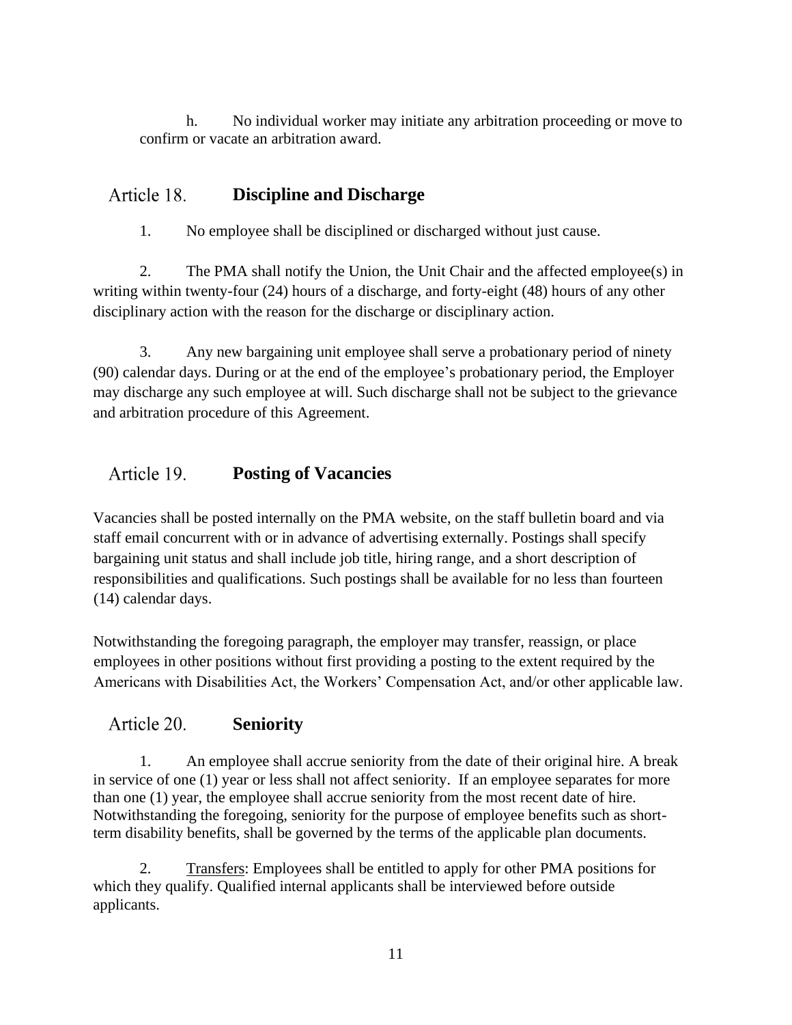h. No individual worker may initiate any arbitration proceeding or move to confirm or vacate an arbitration award.

#### Article 18. **Discipline and Discharge**

1. No employee shall be disciplined or discharged without just cause.

2. The PMA shall notify the Union, the Unit Chair and the affected employee(s) in writing within twenty-four (24) hours of a discharge, and forty-eight (48) hours of any other disciplinary action with the reason for the discharge or disciplinary action.

3. Any new bargaining unit employee shall serve a probationary period of ninety (90) calendar days. During or at the end of the employee's probationary period, the Employer may discharge any such employee at will. Such discharge shall not be subject to the grievance and arbitration procedure of this Agreement.

#### Article 19. **Posting of Vacancies**

Vacancies shall be posted internally on the PMA website, on the staff bulletin board and via staff email concurrent with or in advance of advertising externally. Postings shall specify bargaining unit status and shall include job title, hiring range, and a short description of responsibilities and qualifications. Such postings shall be available for no less than fourteen (14) calendar days.

Notwithstanding the foregoing paragraph, the employer may transfer, reassign, or place employees in other positions without first providing a posting to the extent required by the Americans with Disabilities Act, the Workers' Compensation Act, and/or other applicable law.

#### Article 20. **Seniority**

1. An employee shall accrue seniority from the date of their original hire. A break in service of one (1) year or less shall not affect seniority. If an employee separates for more than one (1) year, the employee shall accrue seniority from the most recent date of hire. Notwithstanding the foregoing, seniority for the purpose of employee benefits such as shortterm disability benefits, shall be governed by the terms of the applicable plan documents.

2. Transfers: Employees shall be entitled to apply for other PMA positions for which they qualify. Qualified internal applicants shall be interviewed before outside applicants.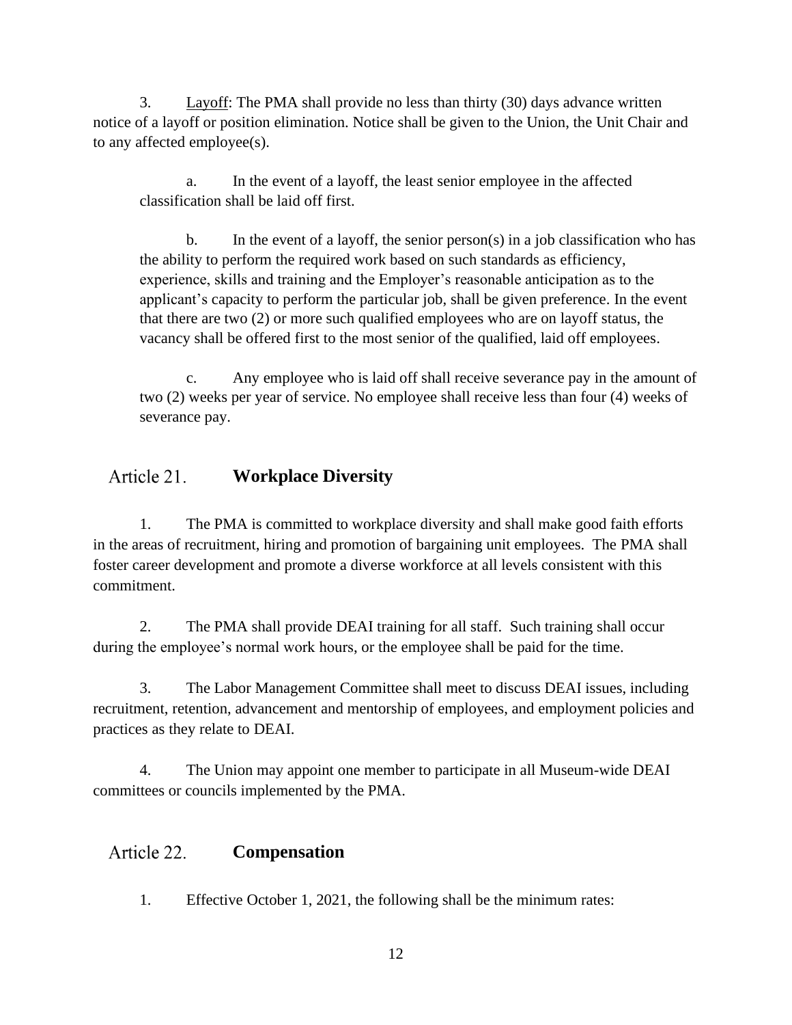3. Layoff: The PMA shall provide no less than thirty (30) days advance written notice of a layoff or position elimination. Notice shall be given to the Union, the Unit Chair and to any affected employee(s).

a. In the event of a layoff, the least senior employee in the affected classification shall be laid off first.

b. In the event of a layoff, the senior person(s) in a job classification who has the ability to perform the required work based on such standards as efficiency, experience, skills and training and the Employer's reasonable anticipation as to the applicant's capacity to perform the particular job, shall be given preference. In the event that there are two (2) or more such qualified employees who are on layoff status, the vacancy shall be offered first to the most senior of the qualified, laid off employees.

c. Any employee who is laid off shall receive severance pay in the amount of two (2) weeks per year of service. No employee shall receive less than four (4) weeks of severance pay.

#### Article 21. **Workplace Diversity**

1. The PMA is committed to workplace diversity and shall make good faith efforts in the areas of recruitment, hiring and promotion of bargaining unit employees. The PMA shall foster career development and promote a diverse workforce at all levels consistent with this commitment.

2. The PMA shall provide DEAI training for all staff. Such training shall occur during the employee's normal work hours, or the employee shall be paid for the time.

3. The Labor Management Committee shall meet to discuss DEAI issues, including recruitment, retention, advancement and mentorship of employees, and employment policies and practices as they relate to DEAI.

4. The Union may appoint one member to participate in all Museum-wide DEAI committees or councils implemented by the PMA.

#### Article 22. **Compensation**

1. Effective October 1, 2021, the following shall be the minimum rates: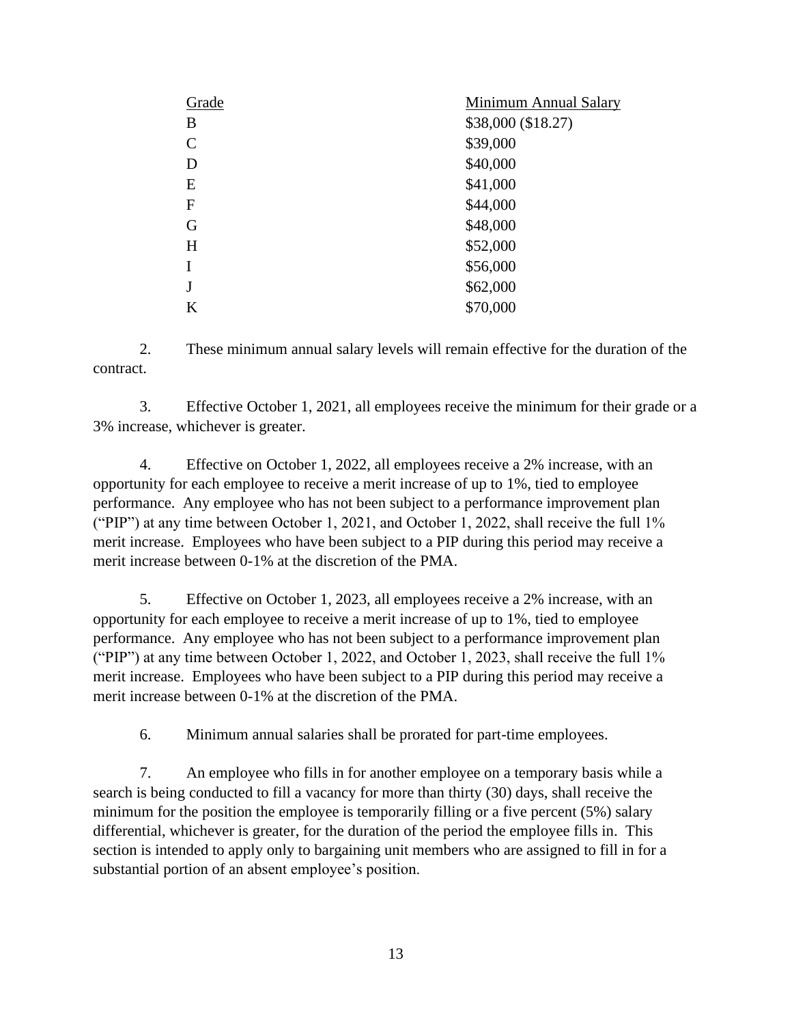| Grade        | <b>Minimum Annual Salary</b> |
|--------------|------------------------------|
| B            | \$38,000 (\$18.27)           |
| $\mathbf C$  | \$39,000                     |
| D            | \$40,000                     |
| E            | \$41,000                     |
| $\mathbf{F}$ | \$44,000                     |
| G            | \$48,000                     |
| H            | \$52,000                     |
| I            | \$56,000                     |
| J            | \$62,000                     |
| K            | \$70,000                     |

2. These minimum annual salary levels will remain effective for the duration of the contract.

3. Effective October 1, 2021, all employees receive the minimum for their grade or a 3% increase, whichever is greater.

4. Effective on October 1, 2022, all employees receive a 2% increase, with an opportunity for each employee to receive a merit increase of up to 1%, tied to employee performance. Any employee who has not been subject to a performance improvement plan ("PIP") at any time between October 1, 2021, and October 1, 2022, shall receive the full 1% merit increase. Employees who have been subject to a PIP during this period may receive a merit increase between 0-1% at the discretion of the PMA.

5. Effective on October 1, 2023, all employees receive a 2% increase, with an opportunity for each employee to receive a merit increase of up to 1%, tied to employee performance. Any employee who has not been subject to a performance improvement plan ("PIP") at any time between October 1, 2022, and October 1, 2023, shall receive the full 1% merit increase. Employees who have been subject to a PIP during this period may receive a merit increase between 0-1% at the discretion of the PMA.

6. Minimum annual salaries shall be prorated for part-time employees.

7. An employee who fills in for another employee on a temporary basis while a search is being conducted to fill a vacancy for more than thirty (30) days, shall receive the minimum for the position the employee is temporarily filling or a five percent (5%) salary differential, whichever is greater, for the duration of the period the employee fills in. This section is intended to apply only to bargaining unit members who are assigned to fill in for a substantial portion of an absent employee's position.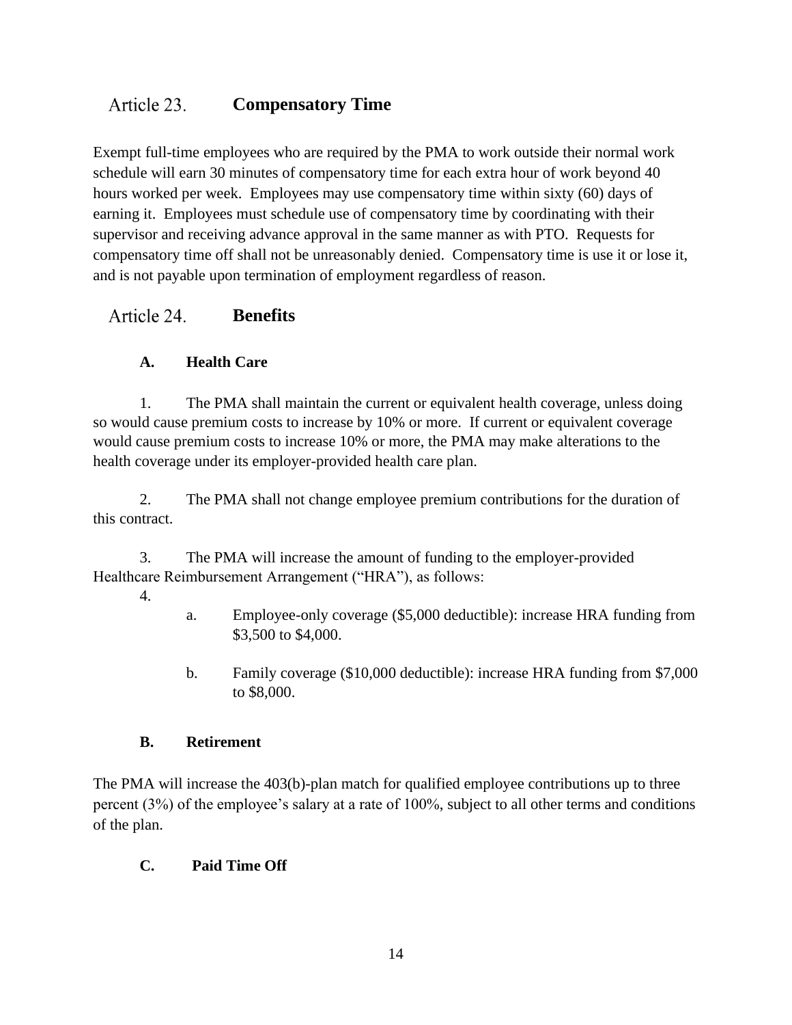#### Article 23. **Compensatory Time**

Exempt full-time employees who are required by the PMA to work outside their normal work schedule will earn 30 minutes of compensatory time for each extra hour of work beyond 40 hours worked per week. Employees may use compensatory time within sixty (60) days of earning it. Employees must schedule use of compensatory time by coordinating with their supervisor and receiving advance approval in the same manner as with PTO. Requests for compensatory time off shall not be unreasonably denied. Compensatory time is use it or lose it, and is not payable upon termination of employment regardless of reason.

#### Article 24. **Benefits**

## **A. Health Care**

1. The PMA shall maintain the current or equivalent health coverage, unless doing so would cause premium costs to increase by 10% or more. If current or equivalent coverage would cause premium costs to increase 10% or more, the PMA may make alterations to the health coverage under its employer-provided health care plan.

2. The PMA shall not change employee premium contributions for the duration of this contract.

3. The PMA will increase the amount of funding to the employer-provided Healthcare Reimbursement Arrangement ("HRA"), as follows:

- 4.
- a. Employee-only coverage (\$5,000 deductible): increase HRA funding from \$3,500 to \$4,000.
- b. Family coverage (\$10,000 deductible): increase HRA funding from \$7,000 to \$8,000.

## **B. Retirement**

The PMA will increase the 403(b)-plan match for qualified employee contributions up to three percent (3%) of the employee's salary at a rate of 100%, subject to all other terms and conditions of the plan.

## **C. Paid Time Off**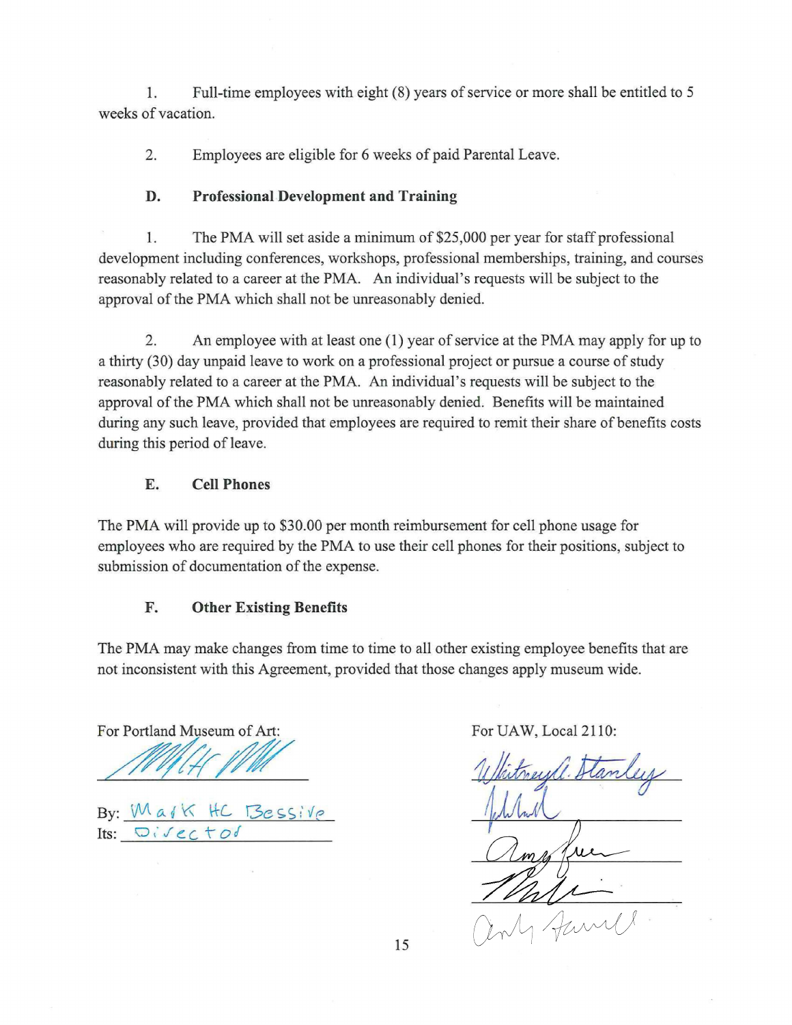Full-time employees with eight (8) years of service or more shall be entitled to 5 1. weeks of vacation.

- Employees are eligible for 6 weeks of paid Parental Leave. 2.
- **Professional Development and Training** D.

The PMA will set aside a minimum of \$25,000 per year for staff professional 1. development including conferences, workshops, professional memberships, training, and courses reasonably related to a career at the PMA. An individual's requests will be subject to the approval of the PMA which shall not be unreasonably denied.

An employee with at least one (1) year of service at the PMA may apply for up to 2. a thirty (30) day unpaid leave to work on a professional project or pursue a course of study

reasonably related to a career at the PMA. An individual's requests will be subject to the approval of the PMA which shall not be unreasonably denied. Benefits will be maintained during any such leave, provided that employees are required to remit their share of benefits costs during this period of leave.

## **Cell Phones** E.

The PMA will provide up to \$30.00 per month reimbursement for cell phone usage for employees who are required by the PMA to use their cell phones for their positions, subject to submission of documentation of the expense.

## **Other Existing Benefits**  $\mathbf{F}_{\bullet}$

The PMA may make changes from time to time to all other existing employee benefits that are not inconsistent with this Agreement, provided that those changes apply museum wide.

For Portland Museum of Art:  $\Delta$  For UAW, Local 2110:

the contract of the contract of

# By: Mark HC Bessive Its:  $DiVectod$



15